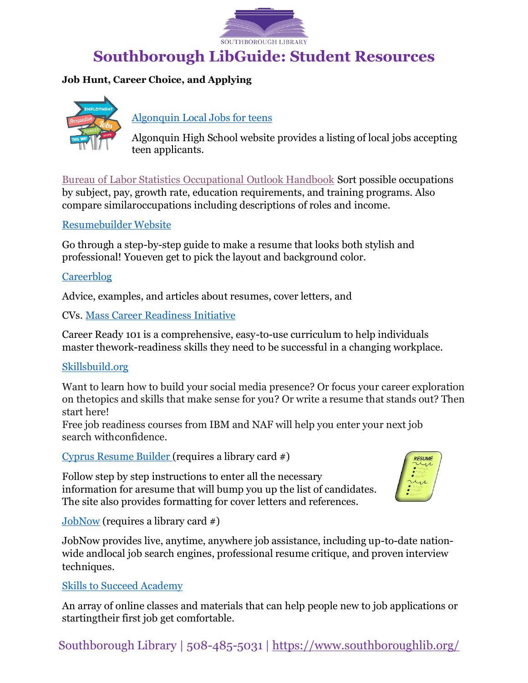

# **Southborough LibGuide: Student Resources**

# **Job Hunt, Career Choice, and Applying**



# [Algonquin](https://www.nsboro.k12.ma.us/Page/987) Local Jobs for teens

Algonquin High School website provides a listing of local jobs accepting teen applicants.

Bureau of Labor Statistics [Occupational](https://www.bls.gov/ooh/home.htm) Outlook Handbook Sort possible occupations by subject, pay, growth rate, education requirements, and training programs. Also compare similaroccupations including descriptions of roles and income.

# [Resumebuilder](https://www.resumebuilder.com/create-a-resume/) Website

Go through a step-by-step guide to make a resume that looks both stylish and professional! Youeven get to pick the layout and background color.

# **[Careerblog](https://novoresume.com/career-blog/high-school-resume)**

Advice, examples, and articles about resumes, cover letters, and

CVs. Mass Career [Readiness](https://www.mass.gov/orgs/career-readiness-initiative) Initiative

Career Ready 101 is a comprehensive, easy-to-use curriculum to help individuals master thework-readiness skills they need to be successful in a changing workplace.

# [Skillsbuild.org](https://skillsbuild.org/students/course-catalog/job-readiness)

Want to learn how to build your social media presence? Or focus your career exploration on thetopics and skills that make sense for you? Or write a resume that stands out? Then start here!

Free job readiness courses from IBM and NAF will help you enter your next job search withconfidence.

Cyprus [Resume Builder](https://cypressresume.com/index.php?c=southboroughpubliclibrary) (requires a library card #)

Follow step by step instructions to enter all the necessary information for aresume that will bump you up the list of candidates. The site also provides formatting for cover letters and references.



[JobNow](https://www.brainfuse.com/JobNow/index.asp?a_id=72C16FC7&ss&r) (requires a library card #)

JobNow provides live, anytime, anywhere job assistance, including up-to-date nationwide andlocal job search engines, professional resume critique, and proven interview techniques.

# Skills to Succeed [Academy](hcttps://s2sacademy.org/)

An array of online classes and materials that can help people new to job applications or startingtheir first job get comfortable.

Southborough Library | 508-485-5031 | <https://www.southboroughlib.org/>